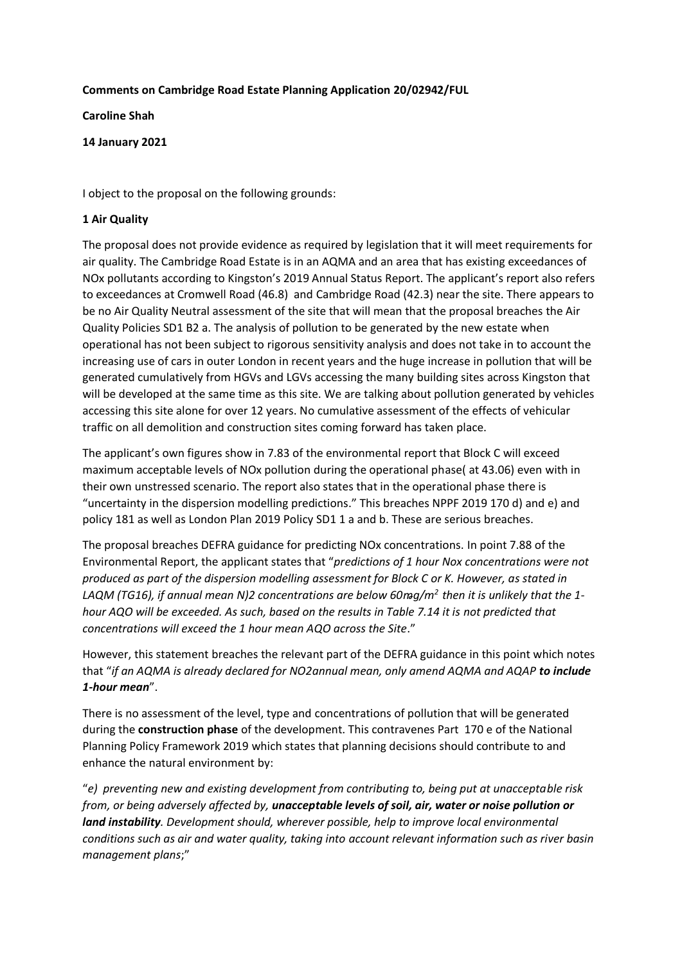## **Comments on Cambridge Road Estate Planning Application 20/02942/FUL**

**Caroline Shah**

### **14 January 2021**

I object to the proposal on the following grounds:

## **1 Air Quality**

The proposal does not provide evidence as required by legislation that it will meet requirements for air quality. The Cambridge Road Estate is in an AQMA and an area that has existing exceedances of NOx pollutants according to Kingston's 2019 Annual Status Report. The applicant's report also refers to exceedances at Cromwell Road (46.8) and Cambridge Road (42.3) near the site. There appears to be no Air Quality Neutral assessment of the site that will mean that the proposal breaches the Air Quality Policies SD1 B2 a. The analysis of pollution to be generated by the new estate when operational has not been subject to rigorous sensitivity analysis and does not take in to account the increasing use of cars in outer London in recent years and the huge increase in pollution that will be generated cumulatively from HGVs and LGVs accessing the many building sites across Kingston that will be developed at the same time as this site. We are talking about pollution generated by vehicles accessing this site alone for over 12 years. No cumulative assessment of the effects of vehicular traffic on all demolition and construction sites coming forward has taken place.

The applicant's own figures show in 7.83 of the environmental report that Block C will exceed maximum acceptable levels of NOx pollution during the operational phase( at 43.06) even with in their own unstressed scenario. The report also states that in the operational phase there is "uncertainty in the dispersion modelling predictions." This breaches NPPF 2019 170 d) and e) and policy 181 as well as London Plan 2019 Policy SD1 1 a and b. These are serious breaches.

The proposal breaches DEFRA guidance for predicting NOx concentrations. In point 7.88 of the Environmental Report, the applicant states that "*predictions of 1 hour Nox concentrations were not produced as part of the dispersion modelling assessment for Block C or K. However, as stated in LAQM (TG16), if annual mean N)2 concentrations are below 60* $\frac{mg}{m^2}$  *then it is unlikely that the 1hour AQO will be exceeded. As such, based on the results in Table 7.14 it is not predicted that concentrations will exceed the 1 hour mean AQO across the Site*."

However, this statement breaches the relevant part of the DEFRA guidance in this point which notes that "*if an AQMA is already declared for NO2annual mean, only amend AQMA and AQAP to include 1-hour mean*".

There is no assessment of the level, type and concentrations of pollution that will be generated during the **construction phase** of the development. This contravenes Part 170 e of the National Planning Policy Framework 2019 which states that planning decisions should contribute to and enhance the natural environment by:

"*e) preventing new and existing development from contributing to, being put at unacceptable risk from, or being adversely affected by, unacceptable levels of soil, air, water or noise pollution or land instability. Development should, wherever possible, help to improve local environmental conditions such as air and water quality, taking into account relevant information such as river basin management plans*;"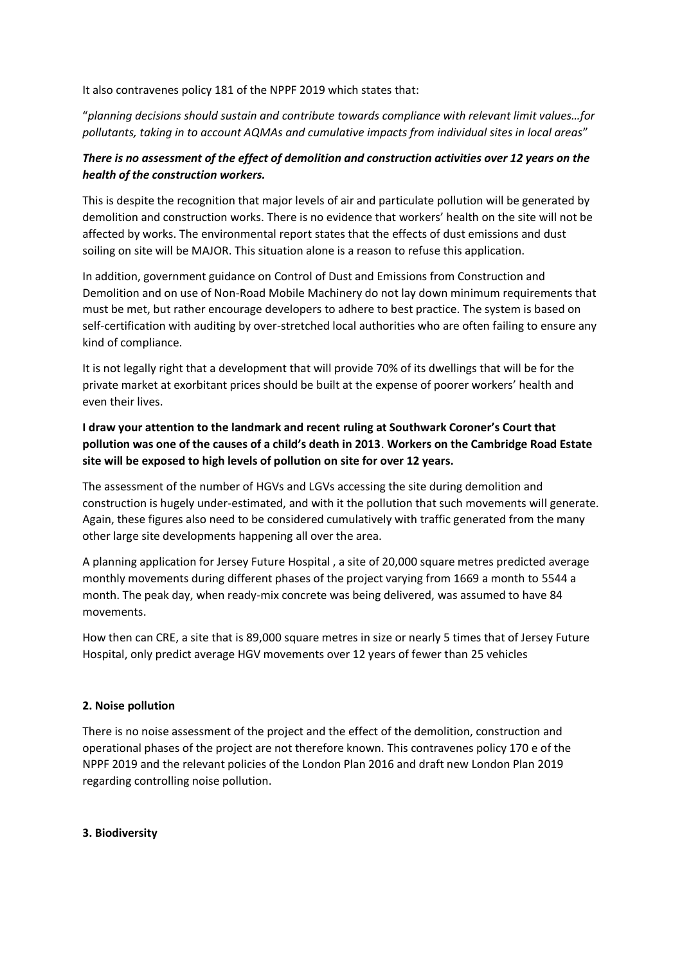It also contravenes policy 181 of the NPPF 2019 which states that:

"*planning decisions should sustain and contribute towards compliance with relevant limit values…for pollutants, taking in to account AQMAs and cumulative impacts from individual sites in local areas*"

# *There is no assessment of the effect of demolition and construction activities over 12 years on the health of the construction workers.*

This is despite the recognition that major levels of air and particulate pollution will be generated by demolition and construction works. There is no evidence that workers' health on the site will not be affected by works. The environmental report states that the effects of dust emissions and dust soiling on site will be MAJOR. This situation alone is a reason to refuse this application.

In addition, government guidance on Control of Dust and Emissions from Construction and Demolition and on use of Non-Road Mobile Machinery do not lay down minimum requirements that must be met, but rather encourage developers to adhere to best practice. The system is based on self-certification with auditing by over-stretched local authorities who are often failing to ensure any kind of compliance.

It is not legally right that a development that will provide 70% of its dwellings that will be for the private market at exorbitant prices should be built at the expense of poorer workers' health and even their lives.

## **I draw your attention to the landmark and recent ruling at Southwark Coroner's Court that pollution was one of the causes of a child's death in 2013**. **Workers on the Cambridge Road Estate site will be exposed to high levels of pollution on site for over 12 years.**

The assessment of the number of HGVs and LGVs accessing the site during demolition and construction is hugely under-estimated, and with it the pollution that such movements will generate. Again, these figures also need to be considered cumulatively with traffic generated from the many other large site developments happening all over the area.

A planning application for Jersey Future Hospital , a site of 20,000 square metres predicted average monthly movements during different phases of the project varying from 1669 a month to 5544 a month. The peak day, when ready-mix concrete was being delivered, was assumed to have 84 movements.

How then can CRE, a site that is 89,000 square metres in size or nearly 5 times that of Jersey Future Hospital, only predict average HGV movements over 12 years of fewer than 25 vehicles

## **2. Noise pollution**

There is no noise assessment of the project and the effect of the demolition, construction and operational phases of the project are not therefore known. This contravenes policy 170 e of the NPPF 2019 and the relevant policies of the London Plan 2016 and draft new London Plan 2019 regarding controlling noise pollution.

### **3. Biodiversity**